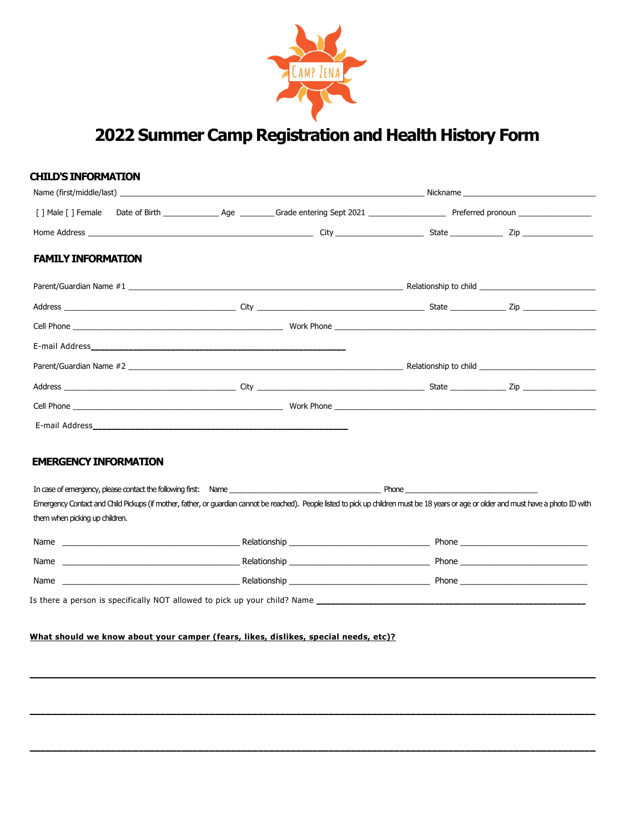

# 2022 Summer Camp Registration and Health History Form

|                                                                | Name (first/middle/last) example and the second service of the service of the Nickhame Nickhame and Nickhame and Nickhame and Nickhame and Nickhame and Nickhame and Nickhame and Nickhame and Nickhame and Nickhame and Nickh |  |
|----------------------------------------------------------------|--------------------------------------------------------------------------------------------------------------------------------------------------------------------------------------------------------------------------------|--|
|                                                                |                                                                                                                                                                                                                                |  |
|                                                                |                                                                                                                                                                                                                                |  |
| <b>FAMILY INFORMATION</b>                                      |                                                                                                                                                                                                                                |  |
|                                                                |                                                                                                                                                                                                                                |  |
|                                                                |                                                                                                                                                                                                                                |  |
|                                                                |                                                                                                                                                                                                                                |  |
|                                                                |                                                                                                                                                                                                                                |  |
|                                                                |                                                                                                                                                                                                                                |  |
|                                                                |                                                                                                                                                                                                                                |  |
|                                                                |                                                                                                                                                                                                                                |  |
|                                                                |                                                                                                                                                                                                                                |  |
| <b>EMERGENCY INFORMATION</b><br>them when picking up children. | Emergency Contact and Child Pickups (if mother, father, or guardian cannot be reached). People listed to pick up children must be 18 years or age or older and must have a photo ID with                                       |  |
|                                                                |                                                                                                                                                                                                                                |  |
|                                                                |                                                                                                                                                                                                                                |  |
|                                                                |                                                                                                                                                                                                                                |  |
|                                                                |                                                                                                                                                                                                                                |  |

\_\_\_\_\_\_\_\_\_\_\_\_\_\_\_\_\_\_\_\_\_\_\_\_\_\_\_\_\_\_\_\_\_\_\_\_\_\_\_\_\_\_\_\_\_\_\_\_\_\_\_\_\_\_\_\_\_\_\_\_\_\_\_\_\_\_\_\_\_\_\_\_\_\_\_\_\_\_\_\_\_\_\_\_\_\_\_\_\_\_\_\_\_\_\_\_\_\_\_\_\_\_\_\_

\_\_\_\_\_\_\_\_\_\_\_\_\_\_\_\_\_\_\_\_\_\_\_\_\_\_\_\_\_\_\_\_\_\_\_\_\_\_\_\_\_\_\_\_\_\_\_\_\_\_\_\_\_\_\_\_\_\_\_\_\_\_\_\_\_\_\_\_\_\_\_\_\_\_\_\_\_\_\_\_\_\_\_\_\_\_\_\_\_\_\_\_\_\_\_\_\_\_\_\_\_\_\_\_

\_\_\_\_\_\_\_\_\_\_\_\_\_\_\_\_\_\_\_\_\_\_\_\_\_\_\_\_\_\_\_\_\_\_\_\_\_\_\_\_\_\_\_\_\_\_\_\_\_\_\_\_\_\_\_\_\_\_\_\_\_\_\_\_\_\_\_\_\_\_\_\_\_\_\_\_\_\_\_\_\_\_\_\_\_\_\_\_\_\_\_\_\_\_\_\_\_\_\_\_\_\_\_\_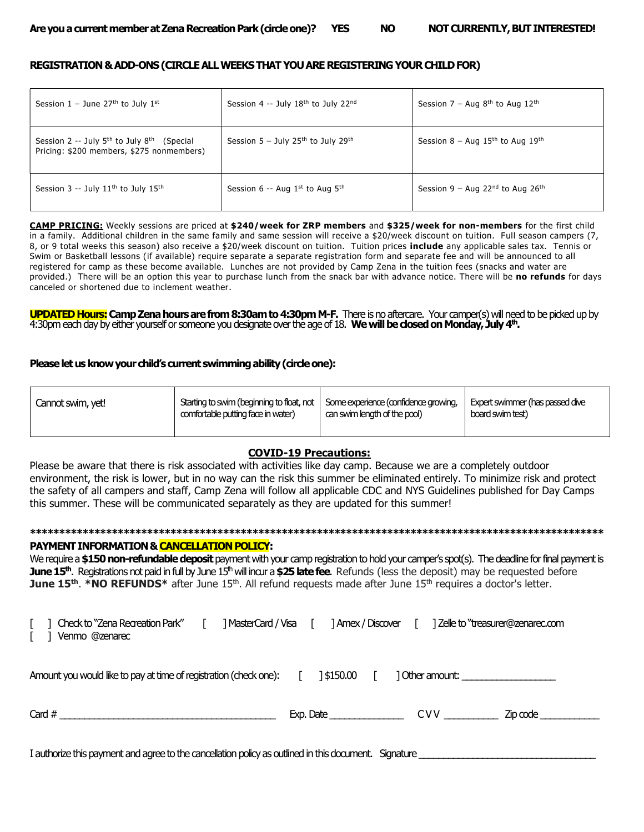## REGISTRATION & ADD-ONS (CIRCLE ALL WEEKS THAT YOU ARE REGISTERING YOUR CHILD FOR)

| Session $1 -$ June 27 <sup>th</sup> to July 1 <sup>st</sup>                                                     | Session 4 -- July 18th to July 22nd                          | Session $7 - Aug 8th$ to Aug 12 <sup>th</sup>              |
|-----------------------------------------------------------------------------------------------------------------|--------------------------------------------------------------|------------------------------------------------------------|
| Session 2 -- July 5 <sup>th</sup> to July 8 <sup>th</sup> (Special<br>Pricing: \$200 members, \$275 nonmembers) | Session $5 -$ July 25 <sup>th</sup> to July 29 <sup>th</sup> | Session $8 - Aug$ 15 <sup>th</sup> to Aug 19 <sup>th</sup> |
| Session 3 -- July $11th$ to July $15th$                                                                         | Session 6 -- Aug $1st$ to Aug $5th$                          | Session 9 – Aug 22 <sup>nd</sup> to Aug 26 <sup>th</sup>   |

CAMP PRICING: Weekly sessions are priced at \$240/week for ZRP members and \$325/week for non-members for the first child in a family. Additional children in the same family and same session will receive a \$20/week discount on tuition. Full season campers (7, 8, or 9 total weeks this season) also receive a \$20/week discount on tuition. Tuition prices include any applicable sales tax. Tennis or Swim or Basketball lessons (if available) require separate a separate registration form and separate fee and will be announced to all registered for camp as these become available. Lunches are not provided by Camp Zena in the tuition fees (snacks and water are provided.) There will be an option this year to purchase lunch from the snack bar with advance notice. There will be no refunds for days canceled or shortened due to inclement weather.

UPDATED Hours: Camp Zena hours are from 8:30am to 4:30pm M-F. There is no aftercare. Your camper(s) will need to be picked up by 4:30pm each day by either yourself or someone you designate over the age of 18. We will be closed on Monday, July 4th.

## Please let us know your child's current swimming ability (circle one):

| Cannot swim, yet! | Starting to swim (beginning to float, not   Some experience (confidence growing,<br>comfortable putting face in water) | can swim length of the pool) | Expert swimmer (has passed dive<br>board swim test) |
|-------------------|------------------------------------------------------------------------------------------------------------------------|------------------------------|-----------------------------------------------------|
|                   |                                                                                                                        |                              |                                                     |

# COVID-19 Precautions:

Please be aware that there is risk associated with activities like day camp. Because we are a completely outdoor environment, the risk is lower, but in no way can the risk this summer be eliminated entirely. To minimize risk and protect the safety of all campers and staff, Camp Zena will follow all applicable CDC and NYS Guidelines published for Day Camps this summer. These will be communicated separately as they are updated for this summer!

# \*\*\*\*\*\*\*\*\*\*\*\*\*\*\*\*\*\*\*\*\*\*\*\*\*\*\*\*\*\*\*\*\*\*\*\*\*\*\*\*\*\*\*\*\*\*\*\*\*\*\*\*\*\*\*\*\*\*\*\*\*\*\*\*\*\*\*\*\*\*\*\*\*\*\*\*\*\*\*\*\*\*\*\*\*\*\*\*\*\*\*\*\*\*\*\*\*\* PAYMENT INFORMATION & CANCELLATION POLICY:

We require a \$150 non-refundable deposit payment with your camp registration to hold your camper's spot(s). The deadline for final payment is June 15<sup>th</sup>. Registrations not paid in full by June 15<sup>th</sup> will incur a \$25 late fee. Refunds (less the deposit) may be requested before **June 15<sup>th</sup>. \*NO REFUNDS\*** after June 15<sup>th</sup>. All refund requests made after June 15<sup>th</sup> requires a doctor's letter.

| Check to "Zena Recreation Park"<br>Venmo @zenarec                 | ] MasterCard / Visa |           | ] Amex / Discover | ] Zelle to "treasurer@zenarec.com |
|-------------------------------------------------------------------|---------------------|-----------|-------------------|-----------------------------------|
| Amount you would like to pay at time of registration (check one): |                     | 1\$150.00 |                   |                                   |
| Card $#$                                                          |                     | Exp. Date | CVV C             | Zip code                          |

I authorize this payment and agree to the cancellation policy as outlined in this document. Signature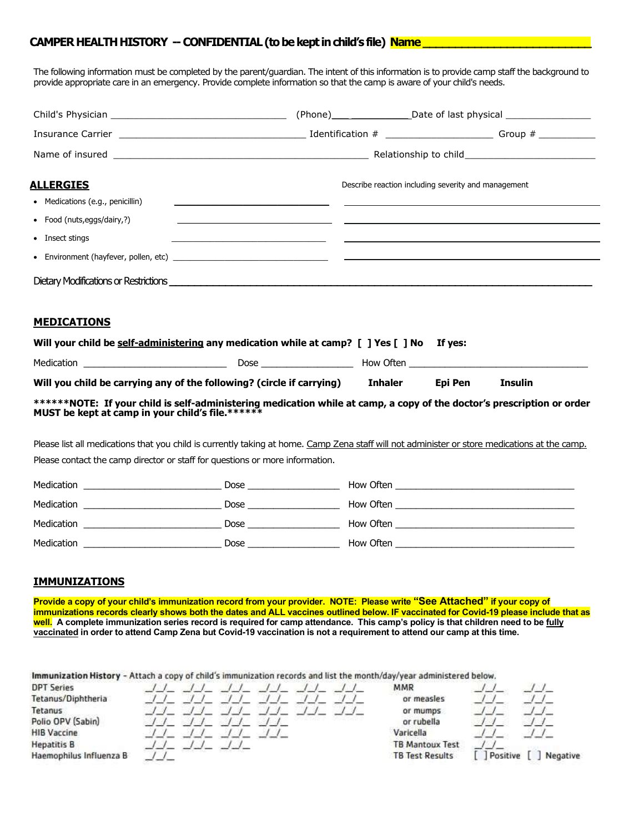# CAMPER HEALTH HISTORY -- CONFIDENTIAL (to be kept in child's file) Name

The following information must be completed by the parent/guardian. The intent of this information is to provide camp staff the background to provide appropriate care in an emergency. Provide complete information so that the camp is aware of your child's needs.

|                                                                                                                                                                            |                                                    |                                                     |         | (Phone)__________________________Date of last physical _________________________ |
|----------------------------------------------------------------------------------------------------------------------------------------------------------------------------|----------------------------------------------------|-----------------------------------------------------|---------|----------------------------------------------------------------------------------|
|                                                                                                                                                                            |                                                    |                                                     |         |                                                                                  |
|                                                                                                                                                                            |                                                    |                                                     |         |                                                                                  |
| <u>ALLERGIES</u>                                                                                                                                                           |                                                    | Describe reaction including severity and management |         |                                                                                  |
| • Medications (e.g., penicillin)                                                                                                                                           |                                                    |                                                     |         |                                                                                  |
| • Food (nuts, eggs/dairy,?)                                                                                                                                                |                                                    |                                                     |         |                                                                                  |
| • Insect stings                                                                                                                                                            | <u> 1989 - Johann John Harry Hermann (f. 1989)</u> |                                                     |         |                                                                                  |
|                                                                                                                                                                            |                                                    |                                                     |         |                                                                                  |
|                                                                                                                                                                            |                                                    |                                                     |         |                                                                                  |
| <b>MEDICATIONS</b><br>Will your child be self-administering any medication while at camp? [ ] Yes [ ] No If yes:                                                           |                                                    |                                                     |         |                                                                                  |
| Will you child be carrying any of the following? (circle if carrying) Inhaler                                                                                              |                                                    |                                                     | Epi Pen | <b>Insulin</b>                                                                   |
| ******NOTE: If your child is self-administering medication while at camp, a copy of the doctor's prescription or order<br>MUST be kept at camp in your child's file.****** |                                                    |                                                     |         |                                                                                  |
| Please list all medications that you child is currently taking at home. Camp Zena staff will not administer or store medications at the camp.                              |                                                    |                                                     |         |                                                                                  |
| Please contact the camp director or staff for questions or more information.                                                                                               |                                                    |                                                     |         |                                                                                  |
|                                                                                                                                                                            |                                                    |                                                     |         |                                                                                  |
|                                                                                                                                                                            |                                                    |                                                     |         |                                                                                  |
|                                                                                                                                                                            |                                                    |                                                     |         |                                                                                  |
|                                                                                                                                                                            |                                                    |                                                     |         |                                                                                  |

# IMMUNIZATIONS

Provide a copy of your child's immunization record from your provider. NOTE: Please write "See Attached" if your copy of immunizations records clearly shows both the dates and ALL vaccines outlined below. IF vaccinated for Covid-19 please include that as well. A complete immunization series record is required for camp attendance. This camp's policy is that children need to be fully vaccinated in order to attend Camp Zena but Covid-19 vaccination is not a requirement to attend our camp at this time.

Immunization History - Attach a copy of child's immunization records and list the month/day/year administered below.

| <b>DPT Series</b>       |  |  |  | MMR                    |          |          |
|-------------------------|--|--|--|------------------------|----------|----------|
| Tetanus/Diphtheria      |  |  |  | or measles             |          |          |
| Tetanus                 |  |  |  | or mumps               |          |          |
| Polio OPV (Sabin)       |  |  |  | or rubella             |          |          |
| <b>HIB Vaccine</b>      |  |  |  | Varicella              |          |          |
| <b>Hepatitis B</b>      |  |  |  | <b>TB Mantoux Test</b> |          |          |
| Haemophilus Influenza B |  |  |  | <b>TB Test Results</b> | Positive | Negative |
|                         |  |  |  |                        |          |          |